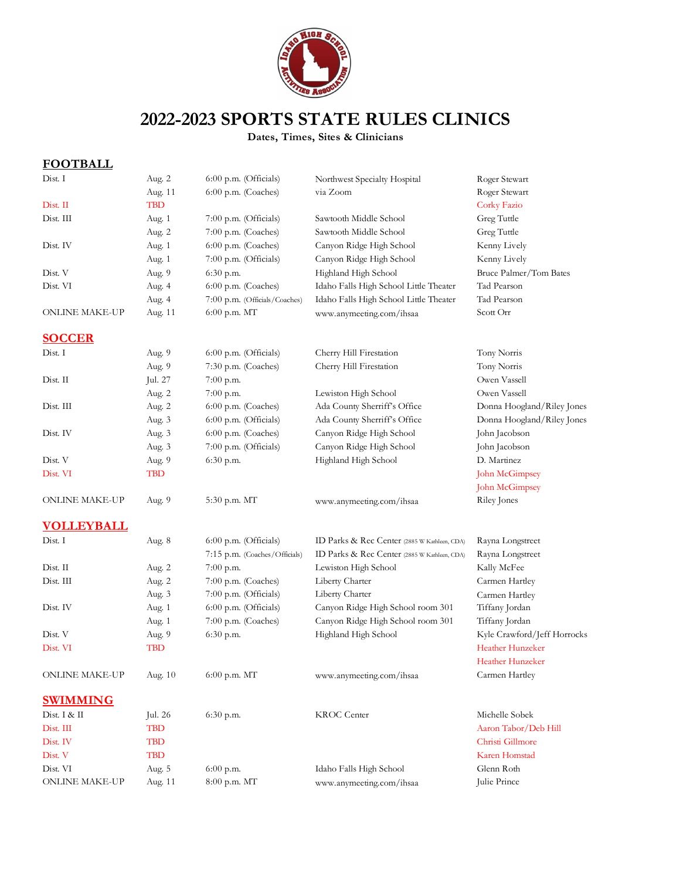

# **2022-2023 SPORTS STATE RULES CLINICS**

**Dates, Times, Sites & Clinicians**

# **FOOTBALL**

| Dist. I               | Aug. 2     | 6:00 p.m. (Officials)         | Northwest Specialty Hospital                 | Roger Stewart               |
|-----------------------|------------|-------------------------------|----------------------------------------------|-----------------------------|
|                       | Aug. 11    | 6:00 p.m. (Coaches)           | via Zoom                                     | Roger Stewart               |
| Dist. II              | <b>TBD</b> |                               |                                              | Corky Fazio                 |
| Dist. III             | Aug. 1     | $7:00$ p.m. (Officials)       | Sawtooth Middle School                       | Greg Tuttle                 |
|                       | Aug. 2     | 7:00 p.m. (Coaches)           | Sawtooth Middle School                       | Greg Tuttle                 |
| Dist. IV              | Aug. 1     | 6:00 p.m. (Coaches)           | Canyon Ridge High School                     | Kenny Lively                |
|                       | Aug. 1     | 7:00 p.m. (Officials)         | Canyon Ridge High School                     | Kenny Lively                |
| Dist. V               | Aug. 9     | 6:30 p.m.                     | Highland High School                         | Bruce Palmer/Tom Bates      |
| Dist. VI              | Aug. 4     | 6:00 p.m. (Coaches)           | Idaho Falls High School Little Theater       | Tad Pearson                 |
|                       | Aug. 4     | 7:00 p.m. (Officials/Coaches) | Idaho Falls High School Little Theater       | Tad Pearson                 |
| ONLINE MAKE-UP        | Aug. 11    | 6:00 p.m. MT                  | www.anymeeting.com/ihsaa                     | Scott Orr                   |
| <b>SOCCER</b>         |            |                               |                                              |                             |
| Dist. I               | Aug. 9     | $6:00$ p.m. (Officials)       | Cherry Hill Firestation                      | Tony Norris                 |
|                       | Aug. 9     | 7:30 p.m. (Coaches)           | Cherry Hill Firestation                      | Tony Norris                 |
| Dist. II              | Jul. 27    | 7:00 p.m.                     |                                              | Owen Vassell                |
|                       | Aug. 2     | $7:00$ p.m.                   | Lewiston High School                         | Owen Vassell                |
| Dist. III             | Aug. 2     | 6:00 p.m. (Coaches)           | Ada County Sherriff's Office                 | Donna Hoogland/Riley Jones  |
|                       | Aug. 3     | 6:00 p.m. (Officials)         | Ada County Sherriff's Office                 | Donna Hoogland/Riley Jones  |
| Dist. IV              | Aug. 3     | 6:00 p.m. (Coaches)           | Canyon Ridge High School                     | John Jacobson               |
|                       | Aug. 3     | 7:00 p.m. (Officials)         | Canyon Ridge High School                     | John Jacobson               |
| Dist. V               | Aug. 9     | 6:30 p.m.                     | Highland High School                         | D. Martinez                 |
| Dist. VI              | <b>TBD</b> |                               |                                              | John McGimpsey              |
|                       |            |                               |                                              | John McGimpsey              |
| <b>ONLINE MAKE-UP</b> | Aug. 9     | 5:30 p.m. MT                  | www.anymeeting.com/ihsaa                     | Riley Jones                 |
| <u>VOLLEYBALL</u>     |            |                               |                                              |                             |
| Dist. I               | Aug. 8     | $6:00$ p.m. (Officials)       | ID Parks & Rec Center (2885 W Kathleen, CDA) | Rayna Longstreet            |
|                       |            | 7:15 p.m. (Coaches/Officials) | ID Parks & Rec Center (2885 W Kathleen, CDA) | Rayna Longstreet            |
| Dist. II              | Aug. 2     | $7:00$ p.m.                   | Lewiston High School                         | Kally McFee                 |
| Dist. III             | Aug. 2     | 7:00 p.m. (Coaches)           | Liberty Charter                              | Carmen Hartley              |
|                       | Aug. 3     | 7:00 p.m. (Officials)         | Liberty Charter                              | Carmen Hartley              |
| Dist. IV              | Aug. 1     | 6:00 p.m. (Officials)         | Canyon Ridge High School room 301            | Tiffany Jordan              |
|                       | Aug. 1     | 7:00 p.m. (Coaches)           | Canyon Ridge High School room 301            | Tiffany Jordan              |
| Dist. V               | Aug. 9     | 6:30 p.m.                     | Highland High School                         | Kyle Crawford/Jeff Horrocks |
| Dist. VI              | <b>TBD</b> |                               |                                              | Heather Hunzeker            |
|                       |            |                               |                                              | Heather Hunzeker            |
| ONLINE MAKE-UP        | Aug. 10    | 6:00 p.m. MT                  | www.anymeeting.com/ihsaa                     | Carmen Hartley              |
| <b>SWIMMING</b>       |            |                               |                                              |                             |
| Dist. I & II          | Jul. 26    | 6:30 p.m.                     | <b>KROC</b> Center                           | Michelle Sobek              |
| Dist. III             | TBD        |                               |                                              | Aaron Tabor/Deb Hill        |
| Dist. IV              | <b>TBD</b> |                               |                                              | Christi Gillmore            |
| Dist. V               | <b>TBD</b> |                               |                                              | Karen Homstad               |
| Dist. VI              | Aug. 5     | $6:00$ p.m.                   | Idaho Falls High School                      | Glenn Roth                  |
| <b>ONLINE MAKE-UP</b> | Aug. 11    | 8:00 p.m. MT                  | www.anymeeting.com/ihsaa                     | Julie Prince                |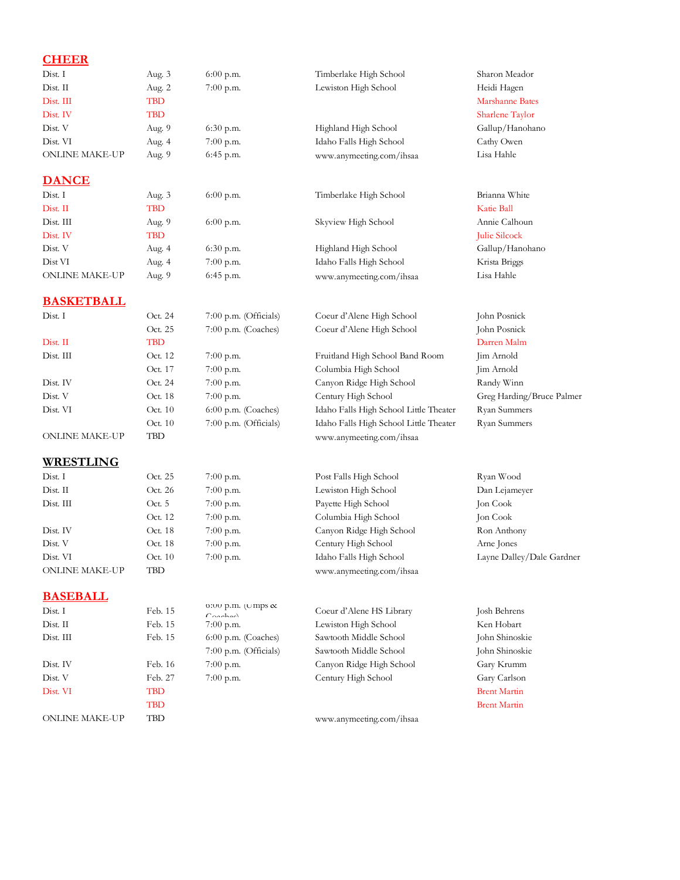## **CHEER**

| Dist. I               | Aug. 3     | $6:00$ p.m. | Timberlake High School   | Sharon Meador   |
|-----------------------|------------|-------------|--------------------------|-----------------|
| $Dist$ . $II$         | Aug. 2     | $7:00$ p.m. | Lewiston High School     | Heidi Hagen     |
| Dist. III             | TBD        |             |                          | Marshanne Bates |
| Dist. IV              | <b>TBD</b> |             |                          | Sharlene Taylor |
| Dist. V               | Aug. 9     | $6:30$ p.m. | Highland High School     | Gallup/Hanohano |
| Dist. VI              | Aug. 4     | $7:00$ p.m. | Idaho Falls High School  | Cathy Owen      |
| <b>ONLINE MAKE-UP</b> | Aug. 9     | $6:45$ p.m. | www.anymeeting.com/ihsaa | Lisa Hahle      |
| <b>DANCE</b>          |            |             |                          |                 |
| Dist. I               | Aug. 3     | $6:00$ p.m. | Timberlake High School   | Brianna White   |
| Dist. II              | TBD        |             |                          | Katie Ball      |
| Dist. III             | Aug. 9     | $6:00$ p.m. | Skyview High School      | Annie Calhoun   |
| Dist. IV              | <b>TBD</b> |             |                          | Julie Silcock   |
| Dist. V               | Aug. 4     | $6:30$ p.m. | Highland High School     | Gallup/Hanohano |
| Dist VI               | Aug. 4     | $7:00$ p.m. | Idaho Falls High School  | Krista Briggs   |

#### **BASKETBALL**

| Dist. I               | Oct. 24   | $7:00$ p.m. (Officials) | Coeur d'Alene High School              | John Posnick              |
|-----------------------|-----------|-------------------------|----------------------------------------|---------------------------|
|                       | Oct. 25   | $7:00$ p.m. (Coaches)   | Coeur d'Alene High School              | John Posnick              |
| Dist. II              | TBD       |                         |                                        | Darren Malm               |
| Dist. III             | Oct. 12   | $7:00$ p.m.             | Fruitland High School Band Room        | Jim Arnold                |
|                       | Oct. 17   | $7:00$ p.m.             | Columbia High School                   | Jim Arnold                |
| Dist. IV              | Oct. 24   | $7:00$ p.m.             | Canyon Ridge High School               | Randy Winn                |
| Dist. V               | Oct. 18   | $7:00$ p.m.             | Century High School                    | Greg Harding/Bruce Palmer |
| Dist. VI              | Oct. $10$ | $6:00$ p.m. (Coaches)   | Idaho Falls High School Little Theater | Ryan Summers              |
|                       | Oct. $10$ | $7:00$ p.m. (Officials) | Idaho Falls High School Little Theater | Ryan Summers              |
| <b>ONLINE MAKE-UP</b> | TBD       |                         | www.anymeeting.com/ihsaa               |                           |

#### **WRESTLING**

| Dist.1                | Oct. 25 | $7:00$ p.m. | Post Falls High School   |
|-----------------------|---------|-------------|--------------------------|
| Dist. II              | Oct. 26 | $7:00$ p.m. | Lewiston High School     |
| Dist. III             | Oct.5   | $7:00$ p.m. | Payette High School      |
|                       | Oct. 12 | $7:00$ p.m. | Columbia High School     |
| Dist. IV              | Oct. 18 | $7:00$ p.m. | Canyon Ridge High School |
| Dist. V               | Oct. 18 | $7:00$ p.m. | Century High School      |
| Dist. VI              | Oct. 10 | $7:00$ p.m. | Idaho Falls High School  |
| <b>ONLINE MAKE-UP</b> | TBD     |             | www.anymeeting.com/ihsaa |

### **BASEBALL**

| Dist. I               | Feb. 15 | $C$ anahaa)             | Coeur d'Alene HS Library | Josh Behrens        |
|-----------------------|---------|-------------------------|--------------------------|---------------------|
| Dist <sub>II</sub>    | Feb. 15 | $7:00$ p.m.             | Lewiston High School     | Ken Hobart          |
| Dist. III             | Feb. 15 | $6:00$ p.m. (Coaches)   | Sawtooth Middle School   | John Shinosl        |
|                       |         | $7:00$ p.m. (Officials) | Sawtooth Middle School   | John Shinosl        |
| Dist. IV              | Feb. 16 | $7:00$ p.m.             | Canyon Ridge High School | Gary Krumn          |
| Dist. V               | Feb. 27 | $7:00$ p.m.             | Century High School      | Gary Carlson        |
| Dist. VI              | TBD     |                         |                          | <b>Brent Martin</b> |
|                       | TBD     |                         |                          | <b>Brent Martin</b> |
| <b>ONLINE MAKE-UP</b> | TBD     |                         | www.anymeeting.com/ihsaa |                     |
|                       |         |                         |                          |                     |

Feb. 15 6:00 p.m. (Umps  $\alpha$ Feb. 15 7:00 p.m. Lewiston High School Dist. V Feb. 27 7:00 p.m. Century High School Gary Carlson TBD Brent Martin

o:00 p.m. (Umps & Coeur d'Alene HS Library Josh Behrens<br>
Coaches) Coaches<br>
7:00 p.m. Lewiston High School Ken Hobart Feb. 15 6:00 p.m. (Coaches) Sawtooth Middle School John Shinoskie 7:00 p.m. (Officials) Sawtooth Middle School John Shinoskie Dist. IV Feb. 16 7:00 p.m. Canyon Ridge High School Gary Krumm

ONLINE MAKE-UP Aug. 9 6:45 p.m. www.anymeeting.com/ihsaa Lisa Hahle

25 7:00 p.m. Post Falls High School Ryan Wood 7:00 p.m. Lewiston High School Dan Lejameyer 7:00 p.m. Payette High School Jon Cook 7:00 p.m. Columbia High School Jon Cook 7:00 p.m. Canyon Ridge High School Ron Anthony 7:00 p.m. Century High School Arne Jones 7:00 p.m. Idaho Falls High School Layne Dalley/Dale Gardner